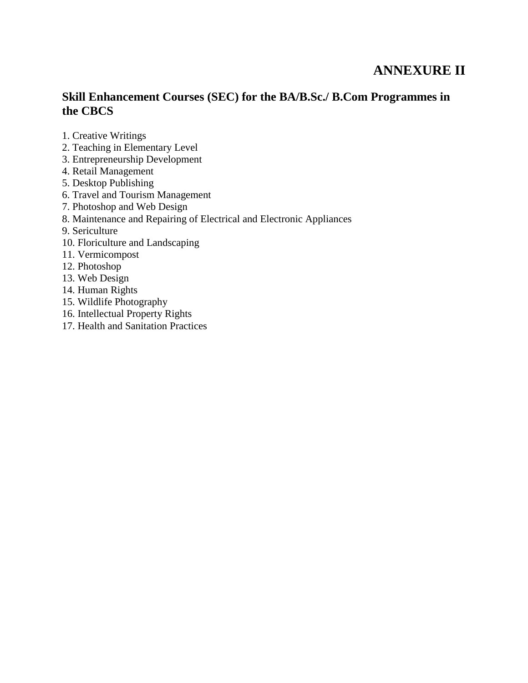# **ANNEXURE II**

## **Skill Enhancement Courses (SEC) for the BA/B.Sc./ B.Com Programmes in the CBCS**

- 1. Creative Writings
- 2. Teaching in Elementary Level
- 3. Entrepreneurship Development
- 4. Retail Management
- 5. Desktop Publishing
- 6. Travel and Tourism Management
- 7. Photoshop and Web Design
- 8. Maintenance and Repairing of Electrical and Electronic Appliances
- 9. Sericulture
- 10. Floriculture and Landscaping
- 11. Vermicompost
- 12. Photoshop
- 13. Web Design
- 14. Human Rights
- 15. Wildlife Photography
- 16. Intellectual Property Rights
- 17. Health and Sanitation Practices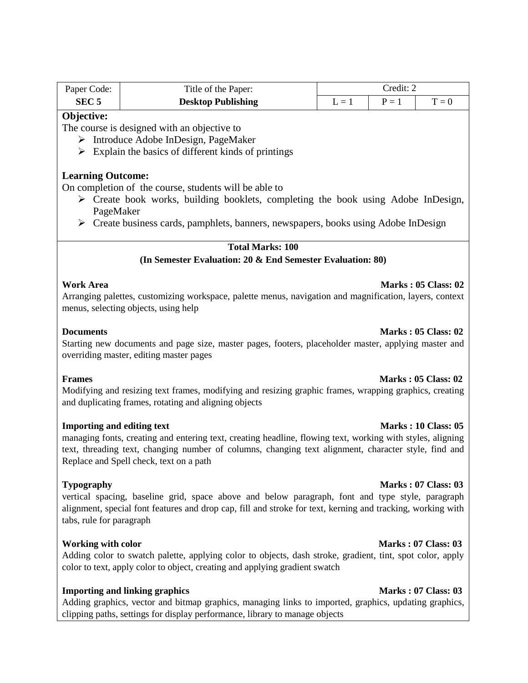| Paper Code:                                                                                                                                                                                                                                                                                                                                                                                                                                                                           | Title of the Paper:                                                                                                                                                                                                           | Credit: 2 |         |                            |  |  |
|---------------------------------------------------------------------------------------------------------------------------------------------------------------------------------------------------------------------------------------------------------------------------------------------------------------------------------------------------------------------------------------------------------------------------------------------------------------------------------------|-------------------------------------------------------------------------------------------------------------------------------------------------------------------------------------------------------------------------------|-----------|---------|----------------------------|--|--|
| SEC <sub>5</sub>                                                                                                                                                                                                                                                                                                                                                                                                                                                                      | <b>Desktop Publishing</b>                                                                                                                                                                                                     | $L = 1$   | $P = 1$ | $T = 0$                    |  |  |
| Objective:<br>The course is designed with an objective to<br>$\triangleright$ Introduce Adobe InDesign, PageMaker<br>$\triangleright$ Explain the basics of different kinds of printings<br><b>Learning Outcome:</b><br>On completion of the course, students will be able to<br>$\triangleright$ Create book works, building booklets, completing the book using Adobe InDesign,<br>PageMaker<br>> Create business cards, pamphlets, banners, newspapers, books using Adobe InDesign |                                                                                                                                                                                                                               |           |         |                            |  |  |
|                                                                                                                                                                                                                                                                                                                                                                                                                                                                                       | <b>Total Marks: 100</b>                                                                                                                                                                                                       |           |         |                            |  |  |
|                                                                                                                                                                                                                                                                                                                                                                                                                                                                                       | (In Semester Evaluation: 20 & End Semester Evaluation: 80)                                                                                                                                                                    |           |         |                            |  |  |
| <b>Work Area</b><br><b>Marks: 05 Class: 02</b><br>Arranging palettes, customizing workspace, palette menus, navigation and magnification, layers, context<br>menus, selecting objects, using help                                                                                                                                                                                                                                                                                     |                                                                                                                                                                                                                               |           |         |                            |  |  |
| <b>Documents</b><br><b>Marks: 05 Class: 02</b><br>Starting new documents and page size, master pages, footers, placeholder master, applying master and<br>overriding master, editing master pages                                                                                                                                                                                                                                                                                     |                                                                                                                                                                                                                               |           |         |                            |  |  |
| <b>Marks: 05 Class: 02</b><br><b>Frames</b><br>Modifying and resizing text frames, modifying and resizing graphic frames, wrapping graphics, creating<br>and duplicating frames, rotating and aligning objects                                                                                                                                                                                                                                                                        |                                                                                                                                                                                                                               |           |         |                            |  |  |
| <b>Importing and editing text</b><br><b>Marks: 10 Class: 05</b><br>managing fonts, creating and entering text, creating headline, flowing text, working with styles, aligning<br>text, threading text, changing number of columns, changing text alignment, character style, find and<br>Replace and Spell check, text on a path                                                                                                                                                      |                                                                                                                                                                                                                               |           |         |                            |  |  |
| <b>Typography</b><br><b>Marks: 07 Class: 03</b><br>vertical spacing, baseline grid, space above and below paragraph, font and type style, paragraph<br>alignment, special font features and drop cap, fill and stroke for text, kerning and tracking, working with<br>tabs, rule for paragraph                                                                                                                                                                                        |                                                                                                                                                                                                                               |           |         |                            |  |  |
| <b>Working with color</b>                                                                                                                                                                                                                                                                                                                                                                                                                                                             | Adding color to swatch palette, applying color to objects, dash stroke, gradient, tint, spot color, apply<br>color to text, apply color to object, creating and applying gradient swatch                                      |           |         | <b>Marks: 07 Class: 03</b> |  |  |
|                                                                                                                                                                                                                                                                                                                                                                                                                                                                                       | <b>Importing and linking graphics</b><br>Adding graphics, vector and bitmap graphics, managing links to imported, graphics, updating graphics,<br>clipping paths, settings for display performance, library to manage objects |           |         | <b>Marks: 07 Class: 03</b> |  |  |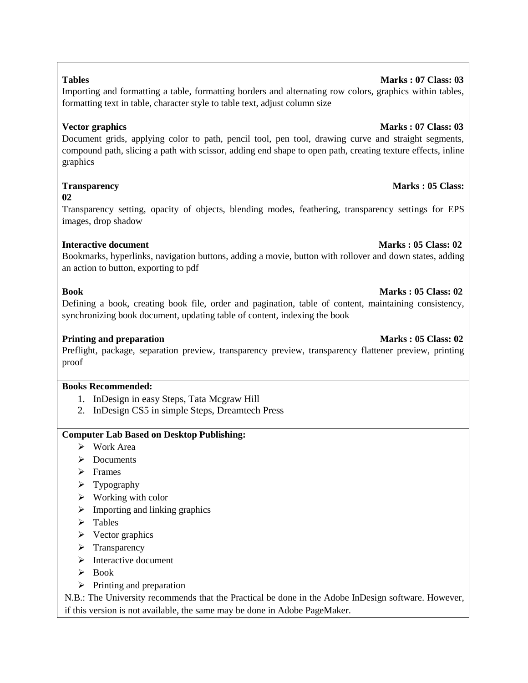# Document grids, applying color to path, pencil tool, pen tool, drawing curve and straight segments, compound path, slicing a path with scissor, adding end shape to open path, creating texture effects, inline graphics

Importing and formatting a table, formatting borders and alternating row colors, graphics within tables,

formatting text in table, character style to table text, adjust column size

### **Transparency Marks : 05 Class:**

**02** 

Transparency setting, opacity of objects, blending modes, feathering, transparency settings for EPS images, drop shadow

### **Interactive document** Marks : 05 Class: 02

Bookmarks, hyperlinks, navigation buttons, adding a movie, button with rollover and down states, adding an action to button, exporting to pdf

### **Book** Marks : 05 Class: 02

Defining a book, creating book file, order and pagination, table of content, maintaining consistency, synchronizing book document, updating table of content, indexing the book

### **Printing and preparation Marks : 05 Class: 02 <b>Marks** : 05 Class: 02

Preflight, package, separation preview, transparency preview, transparency flattener preview, printing proof

### **Books Recommended:**

- 1. InDesign in easy Steps, Tata Mcgraw Hill
- 2. InDesign CS5 in simple Steps, Dreamtech Press

### **Computer Lab Based on Desktop Publishing:**

- $\triangleright$  Work Area
- > Documents
- > Frames
- $\triangleright$  Typography
- $\triangleright$  Working with color
- $\triangleright$  Importing and linking graphics
- > Tables
- $\triangleright$  Vector graphics
- $\triangleright$  Transparency
- $\triangleright$  Interactive document
- $\triangleright$  Book
- $\triangleright$  Printing and preparation

N.B.: The University recommends that the Practical be done in the Adobe InDesign software. However, if this version is not available, the same may be done in Adobe PageMaker.

### **Tables** Marks : 07 Class: 03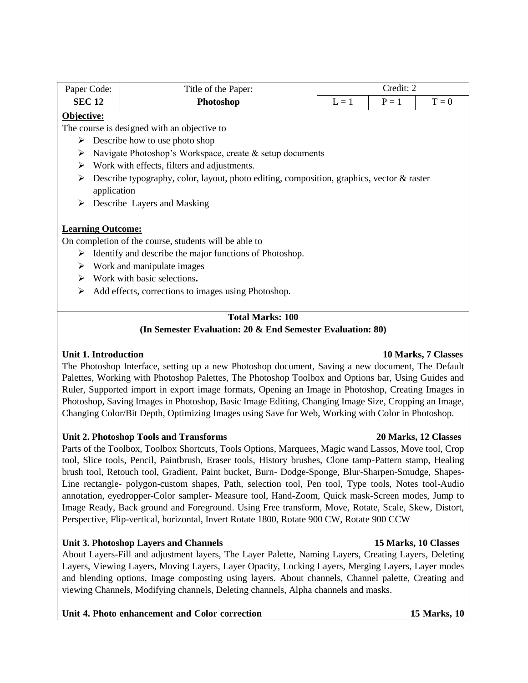| Paper Code:                                                  |                                                                                           | Title of the Paper: | Credit: 2 |         |         |  |  |  |
|--------------------------------------------------------------|-------------------------------------------------------------------------------------------|---------------------|-----------|---------|---------|--|--|--|
| <b>SEC 12</b>                                                |                                                                                           | Photoshop           | $L = 1$   | $P = 1$ | $T = 0$ |  |  |  |
| Objective:                                                   |                                                                                           |                     |           |         |         |  |  |  |
| The course is designed with an objective to                  |                                                                                           |                     |           |         |         |  |  |  |
| Describe how to use photo shop<br>➤                          |                                                                                           |                     |           |         |         |  |  |  |
| ➤                                                            | Navigate Photoshop's Workspace, create & setup documents                                  |                     |           |         |         |  |  |  |
| Work with effects, filters and adjustments.<br>➤             |                                                                                           |                     |           |         |         |  |  |  |
| ➤                                                            | Describe typography, color, layout, photo editing, composition, graphics, vector & raster |                     |           |         |         |  |  |  |
| application                                                  |                                                                                           |                     |           |         |         |  |  |  |
| ≻                                                            | Describe Layers and Masking                                                               |                     |           |         |         |  |  |  |
|                                                              |                                                                                           |                     |           |         |         |  |  |  |
| <b>Learning Outcome:</b>                                     |                                                                                           |                     |           |         |         |  |  |  |
| On completion of the course, students will be able to        |                                                                                           |                     |           |         |         |  |  |  |
| Identify and describe the major functions of Photoshop.<br>➤ |                                                                                           |                     |           |         |         |  |  |  |
| ➤                                                            | Work and manipulate images                                                                |                     |           |         |         |  |  |  |
| ➤                                                            | Work with basic selections.                                                               |                     |           |         |         |  |  |  |
| ➤                                                            | Add effects, corrections to images using Photoshop.                                       |                     |           |         |         |  |  |  |
|                                                              |                                                                                           |                     |           |         |         |  |  |  |
| <b>Total Marks: 100</b>                                      |                                                                                           |                     |           |         |         |  |  |  |

# **(In Semester Evaluation: 20 & End Semester Evaluation: 80)**

### **Unit 1. Introduction 10 Marks, 7 Classes**

### The Photoshop Interface, setting up a new Photoshop document, Saving a new document, The Default Palettes, Working with Photoshop Palettes, The Photoshop Toolbox and Options bar, Using Guides and Ruler, Supported import in export image formats, Opening an Image in Photoshop, Creating Images in Photoshop, Saving Images in Photoshop, Basic Image Editing, Changing Image Size, Cropping an Image, Changing Color/Bit Depth, Optimizing Images using Save for Web, Working with Color in Photoshop.

### **Unit 2. Photoshop Tools and Transforms 20 Marks, 12 Classes**

Parts of the Toolbox, Toolbox Shortcuts, Tools Options, Marquees, Magic wand Lassos, Move tool, Crop tool, Slice tools, Pencil, Paintbrush, Eraser tools, History brushes, Clone tamp-Pattern stamp, Healing brush tool, Retouch tool, Gradient, Paint bucket, Burn- Dodge-Sponge, Blur-Sharpen-Smudge, Shapes-Line rectangle- polygon-custom shapes, Path, selection tool, Pen tool, Type tools, Notes tool-Audio annotation, eyedropper-Color sampler- Measure tool, Hand-Zoom, Quick mask-Screen modes, Jump to Image Ready, Back ground and Foreground. Using Free transform, Move, Rotate, Scale, Skew, Distort, Perspective, Flip-vertical, horizontal, Invert Rotate 1800, Rotate 900 CW, Rotate 900 CCW

### **Unit 3. Photoshop Layers and Channels 15 Marks, 10 Classes**

About Layers-Fill and adjustment layers, The Layer Palette, Naming Layers, Creating Layers, Deleting Layers, Viewing Layers, Moving Layers, Layer Opacity, Locking Layers, Merging Layers, Layer modes and blending options, Image composting using layers. About channels, Channel palette, Creating and viewing Channels, Modifying channels, Deleting channels, Alpha channels and masks.

### **Unit 4. Photo enhancement and Color correction 15 Marks, 10**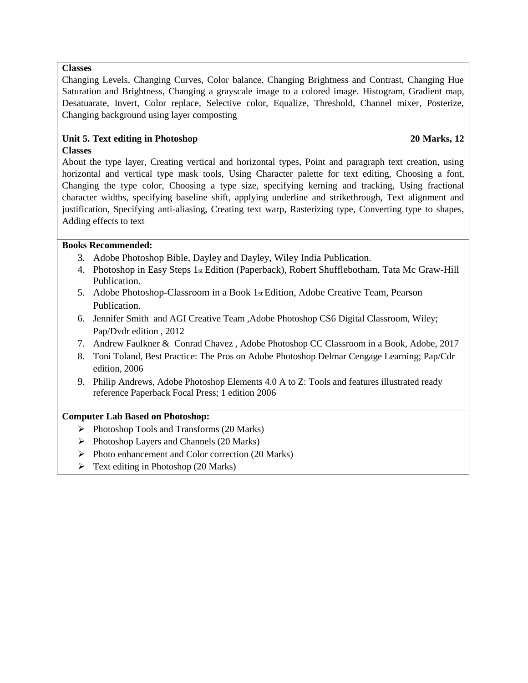### **Classes**

Changing Levels, Changing Curves, Color balance, Changing Brightness and Contrast, Changing Hue Saturation and Brightness, Changing a grayscale image to a colored image. Histogram, Gradient map, Desatuarate, Invert, Color replace, Selective color, Equalize, Threshold, Channel mixer, Posterize, Changing background using layer composting

### **Unit 5. Text editing in Photoshop 20 Marks, 12 Classes**

About the type layer, Creating vertical and horizontal types, Point and paragraph text creation, using horizontal and vertical type mask tools, Using Character palette for text editing, Choosing a font, Changing the type color, Choosing a type size, specifying kerning and tracking, Using fractional character widths, specifying baseline shift, applying underline and strikethrough, Text alignment and justification, Specifying anti-aliasing, Creating text warp, Rasterizing type, Converting type to shapes, Adding effects to text

### **Books Recommended:**

- 3. Adobe Photoshop Bible, Dayley and Dayley, Wiley India Publication.
- 4. Photoshop in Easy Steps 1st Edition (Paperback), Robert Shufflebotham, Tata Mc Graw-Hill Publication.
- 5. Adobe Photoshop-Classroom in a Book  $1<sub>st</sub>$  Edition, Adobe Creative Team, Pearson Publication.
- 6. Jennifer Smith and AGI Creative Team ,Adobe Photoshop CS6 Digital Classroom, Wiley; Pap/Dvdr edition , 2012
- 7. [Andrew Faulkner](https://www.amazon.in/Andrew-Faulkner/e/B00MJJZBRW/ref=dp_byline_cont_book_1) & [Conrad Chavez](https://www.amazon.in/s/ref=dp_byline_sr_book_2?ie=UTF8&field-author=Conrad+Chavez&search-alias=stripbooks) , Adobe Photoshop CC Classroom in a Book, Adobe, 2017
- 8. Toni Toland, Best Practice: The Pros on Adobe Photoshop Delmar Cengage Learning; Pap/Cdr edition, 2006
- 9. Philip Andrews, Adobe Photoshop Elements 4.0 A to Z: Tools and features illustrated ready reference Paperback Focal Press; 1 edition 2006

### **Computer Lab Based on Photoshop:**

- $\triangleright$  Photoshop Tools and Transforms (20 Marks)
- $\triangleright$  Photoshop Layers and Channels (20 Marks)
- $\triangleright$  Photo enhancement and Color correction (20 Marks)
- $\triangleright$  Text editing in Photoshop (20 Marks)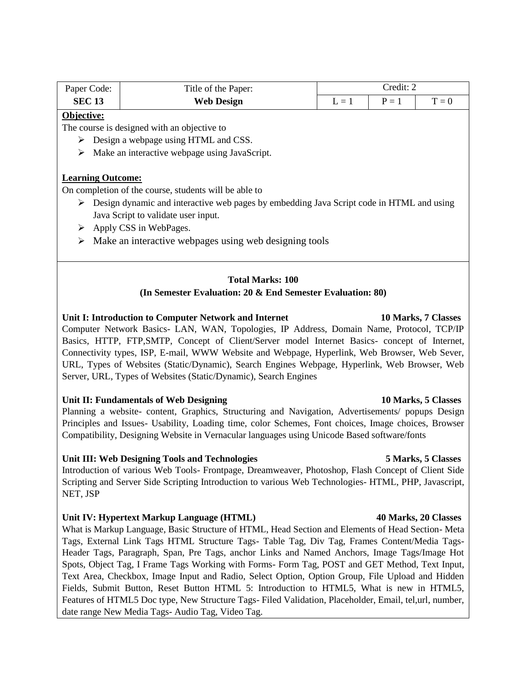| Paper Code:                                                                                               | Title of the Paper:                                        | Credit: 2 |         |                      |  |  |  |  |  |
|-----------------------------------------------------------------------------------------------------------|------------------------------------------------------------|-----------|---------|----------------------|--|--|--|--|--|
| <b>SEC 13</b>                                                                                             | <b>Web Design</b>                                          | $L = 1$   | $P = 1$ | $T = 0$              |  |  |  |  |  |
| Objective:                                                                                                |                                                            |           |         |                      |  |  |  |  |  |
|                                                                                                           | The course is designed with an objective to                |           |         |                      |  |  |  |  |  |
| Design a webpage using HTML and CSS.<br>➤                                                                 |                                                            |           |         |                      |  |  |  |  |  |
| ➤                                                                                                         | Make an interactive webpage using JavaScript.              |           |         |                      |  |  |  |  |  |
|                                                                                                           |                                                            |           |         |                      |  |  |  |  |  |
| <b>Learning Outcome:</b>                                                                                  |                                                            |           |         |                      |  |  |  |  |  |
|                                                                                                           | On completion of the course, students will be able to      |           |         |                      |  |  |  |  |  |
| $\triangleright$ Design dynamic and interactive web pages by embedding Java Script code in HTML and using |                                                            |           |         |                      |  |  |  |  |  |
| Java Script to validate user input.                                                                       |                                                            |           |         |                      |  |  |  |  |  |
| Apply CSS in WebPages.<br>➤                                                                               |                                                            |           |         |                      |  |  |  |  |  |
|                                                                                                           |                                                            |           |         |                      |  |  |  |  |  |
| Make an interactive webpages using web designing tools<br>➤                                               |                                                            |           |         |                      |  |  |  |  |  |
|                                                                                                           |                                                            |           |         |                      |  |  |  |  |  |
|                                                                                                           |                                                            |           |         |                      |  |  |  |  |  |
| <b>Total Marks: 100</b>                                                                                   |                                                            |           |         |                      |  |  |  |  |  |
|                                                                                                           | (In Semester Evaluation: 20 & End Semester Evaluation: 80) |           |         |                      |  |  |  |  |  |
|                                                                                                           |                                                            |           |         |                      |  |  |  |  |  |
| Unit I: Introduction to Computer Network and Internet<br>10 Marks, 7 Classes                              |                                                            |           |         |                      |  |  |  |  |  |
| Computer Network Basics- LAN, WAN, Topologies, IP Address, Domain Name, Protocol, TCP/IP                  |                                                            |           |         |                      |  |  |  |  |  |
| Basics, HTTP, FTP, SMTP, Concept of Client/Server model Internet Basics- concept of Internet,             |                                                            |           |         |                      |  |  |  |  |  |
| Connectivity types, ISP, E-mail, WWW Website and Webpage, Hyperlink, Web Browser, Web Sever,              |                                                            |           |         |                      |  |  |  |  |  |
| URL, Types of Websites (Static/Dynamic), Search Engines Webpage, Hyperlink, Web Browser, Web              |                                                            |           |         |                      |  |  |  |  |  |
| Server, URL, Types of Websites (Static/Dynamic), Search Engines                                           |                                                            |           |         |                      |  |  |  |  |  |
|                                                                                                           |                                                            |           |         |                      |  |  |  |  |  |
|                                                                                                           | <b>Unit II. Eundamentals of Web Designing</b>              |           |         | 10 Mores $E$ Clossos |  |  |  |  |  |

Unit II: Fundamentals of Web Designing **10 Marks, 5 Classes 10 Marks**, 5 Classes Planning a website- content, Graphics, Structuring and Navigation, Advertisements/ popups Design

Principles and Issues- Usability, Loading time, color Schemes, Font choices, Image choices, Browser Compatibility, Designing Website in Vernacular languages using Unicode Based software/fonts

### **Unit III: Web Designing Tools and Technologies 5 Marks, 5 Classes**

Introduction of various Web Tools- Frontpage, Dreamweaver, Photoshop, Flash Concept of Client Side Scripting and Server Side Scripting Introduction to various Web Technologies- HTML, PHP, Javascript, NET, JSP

### **Unit IV: Hypertext Markup Language (HTML) 40 Marks, 20 Classes**

What is Markup Language, Basic Structure of HTML, Head Section and Elements of Head Section- Meta Tags, External Link Tags HTML Structure Tags- Table Tag, Div Tag, Frames Content/Media Tags-Header Tags, Paragraph, Span, Pre Tags, anchor Links and Named Anchors, Image Tags/Image Hot Spots, Object Tag, I Frame Tags Working with Forms- Form Tag, POST and GET Method, Text Input, Text Area, Checkbox, Image Input and Radio, Select Option, Option Group, File Upload and Hidden Fields, Submit Button, Reset Button HTML 5: Introduction to HTML5, What is new in HTML5, Features of HTML5 Doc type, New Structure Tags- Filed Validation, Placeholder, Email, tel,url, number, date range New Media Tags- Audio Tag, Video Tag.